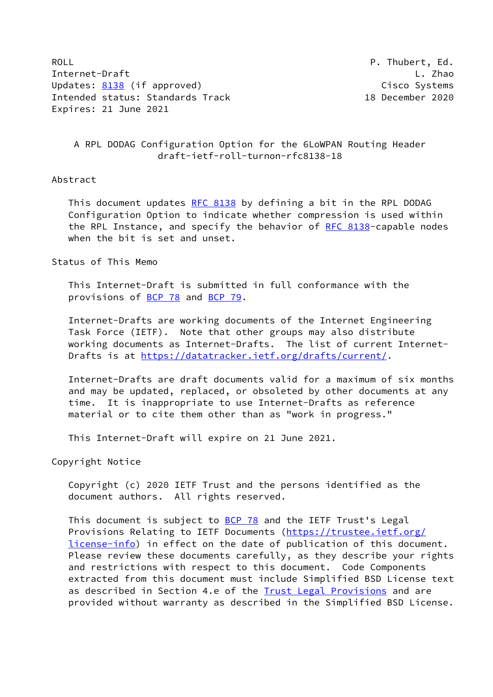ROLL **P. Thubert, Ed.** Internet-Draft L. Zhao Updates: [8138](https://datatracker.ietf.org/doc/pdf/rfc8138) (if approved) and the control of the Cisco Systems Intended status: Standards Track 18 December 2020 Expires: 21 June 2021

## A RPL DODAG Configuration Option for the 6LoWPAN Routing Header draft-ietf-roll-turnon-rfc8138-18

#### Abstract

This document updates [RFC 8138](https://datatracker.ietf.org/doc/pdf/rfc8138) by defining a bit in the RPL DODAG Configuration Option to indicate whether compression is used within the RPL Instance, and specify the behavior of [RFC 8138](https://datatracker.ietf.org/doc/pdf/rfc8138)-capable nodes when the bit is set and unset.

#### Status of This Memo

 This Internet-Draft is submitted in full conformance with the provisions of [BCP 78](https://datatracker.ietf.org/doc/pdf/bcp78) and [BCP 79](https://datatracker.ietf.org/doc/pdf/bcp79).

 Internet-Drafts are working documents of the Internet Engineering Task Force (IETF). Note that other groups may also distribute working documents as Internet-Drafts. The list of current Internet- Drafts is at<https://datatracker.ietf.org/drafts/current/>.

 Internet-Drafts are draft documents valid for a maximum of six months and may be updated, replaced, or obsoleted by other documents at any time. It is inappropriate to use Internet-Drafts as reference material or to cite them other than as "work in progress."

This Internet-Draft will expire on 21 June 2021.

Copyright Notice

 Copyright (c) 2020 IETF Trust and the persons identified as the document authors. All rights reserved.

This document is subject to **[BCP 78](https://datatracker.ietf.org/doc/pdf/bcp78)** and the IETF Trust's Legal Provisions Relating to IETF Documents ([https://trustee.ietf.org/](https://trustee.ietf.org/license-info) [license-info](https://trustee.ietf.org/license-info)) in effect on the date of publication of this document. Please review these documents carefully, as they describe your rights and restrictions with respect to this document. Code Components extracted from this document must include Simplified BSD License text as described in Section 4.e of the **[Trust Legal Provisions](https://trustee.ietf.org/license-info)** and are provided without warranty as described in the Simplified BSD License.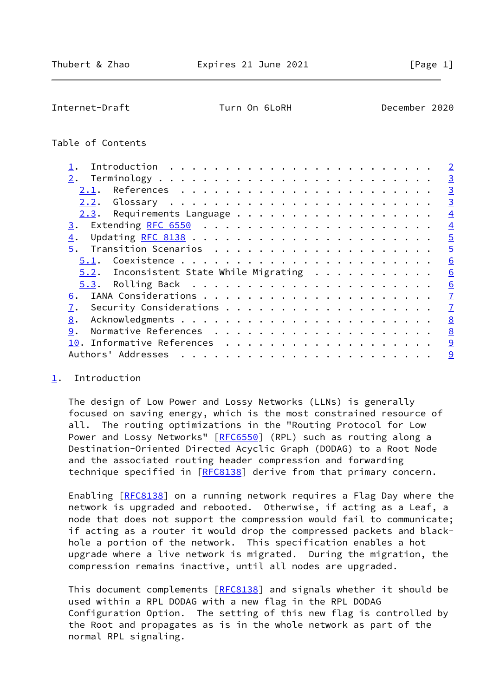<span id="page-1-1"></span>Internet-Draft Turn On 6LoRH December 2020

# Table of Contents

|                                            | $\overline{2}$ |
|--------------------------------------------|----------------|
|                                            | $\overline{3}$ |
| 2.1.                                       | $\overline{3}$ |
| 2.2.                                       | $\overline{3}$ |
|                                            | $\overline{4}$ |
|                                            | $\overline{4}$ |
| 4.                                         | $\overline{5}$ |
|                                            | $\overline{5}$ |
|                                            | 6              |
| $5.2$ . Inconsistent State While Migrating | 6              |
|                                            | 6              |
| 6.                                         | $\overline{1}$ |
| 7.                                         | $\overline{1}$ |
| 8.                                         | 8              |
| 9.                                         | 8              |
|                                            | 9              |
| Authors' Addresses                         | 9              |
|                                            |                |

#### <span id="page-1-0"></span>[1](#page-1-0). Introduction

 The design of Low Power and Lossy Networks (LLNs) is generally focused on saving energy, which is the most constrained resource of all. The routing optimizations in the "Routing Protocol for Low Power and Lossy Networks" [[RFC6550](https://datatracker.ietf.org/doc/pdf/rfc6550)] (RPL) such as routing along a Destination-Oriented Directed Acyclic Graph (DODAG) to a Root Node and the associated routing header compression and forwarding technique specified in [\[RFC8138](https://datatracker.ietf.org/doc/pdf/rfc8138)] derive from that primary concern.

 Enabling [\[RFC8138](https://datatracker.ietf.org/doc/pdf/rfc8138)] on a running network requires a Flag Day where the network is upgraded and rebooted. Otherwise, if acting as a Leaf, a node that does not support the compression would fail to communicate; if acting as a router it would drop the compressed packets and black hole a portion of the network. This specification enables a hot upgrade where a live network is migrated. During the migration, the compression remains inactive, until all nodes are upgraded.

This document complements [[RFC8138](https://datatracker.ietf.org/doc/pdf/rfc8138)] and signals whether it should be used within a RPL DODAG with a new flag in the RPL DODAG Configuration Option. The setting of this new flag is controlled by the Root and propagates as is in the whole network as part of the normal RPL signaling.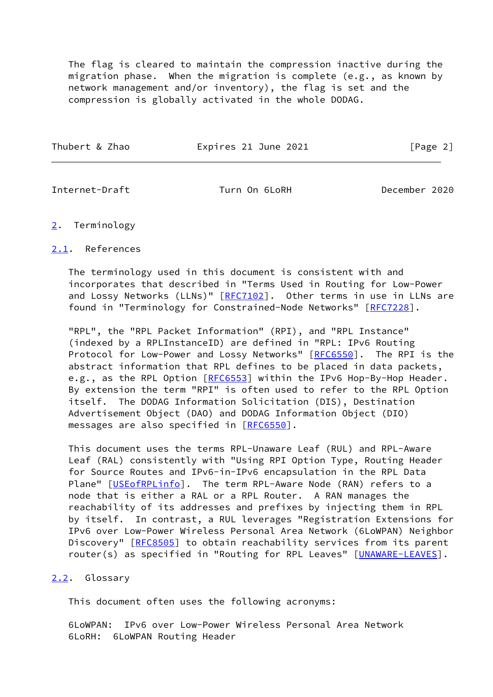The flag is cleared to maintain the compression inactive during the migration phase. When the migration is complete (e.g., as known by network management and/or inventory), the flag is set and the compression is globally activated in the whole DODAG.

| Thubert & Zhao | Expires 21 June 2021 | [Page 2] |
|----------------|----------------------|----------|
|                |                      |          |

<span id="page-2-1"></span>Internet-Draft Turn On 6LoRH December 2020

### <span id="page-2-0"></span>[2](#page-2-0). Terminology

## <span id="page-2-2"></span>[2.1](#page-2-2). References

 The terminology used in this document is consistent with and incorporates that described in "Terms Used in Routing for Low-Power and Lossy Networks (LLNs)" [[RFC7102\]](https://datatracker.ietf.org/doc/pdf/rfc7102). Other terms in use in LLNs are found in "Terminology for Constrained-Node Networks" [\[RFC7228](https://datatracker.ietf.org/doc/pdf/rfc7228)].

 "RPL", the "RPL Packet Information" (RPI), and "RPL Instance" (indexed by a RPLInstanceID) are defined in "RPL: IPv6 Routing Protocol for Low-Power and Lossy Networks" [[RFC6550\]](https://datatracker.ietf.org/doc/pdf/rfc6550). The RPI is the abstract information that RPL defines to be placed in data packets, e.g., as the RPL Option [\[RFC6553](https://datatracker.ietf.org/doc/pdf/rfc6553)] within the IPv6 Hop-By-Hop Header. By extension the term "RPI" is often used to refer to the RPL Option itself. The DODAG Information Solicitation (DIS), Destination Advertisement Object (DAO) and DODAG Information Object (DIO) messages are also specified in [\[RFC6550](https://datatracker.ietf.org/doc/pdf/rfc6550)].

 This document uses the terms RPL-Unaware Leaf (RUL) and RPL-Aware Leaf (RAL) consistently with "Using RPI Option Type, Routing Header for Source Routes and IPv6-in-IPv6 encapsulation in the RPL Data Plane" [\[USEofRPLinfo](#page-9-2)]. The term RPL-Aware Node (RAN) refers to a node that is either a RAL or a RPL Router. A RAN manages the reachability of its addresses and prefixes by injecting them in RPL by itself. In contrast, a RUL leverages "Registration Extensions for IPv6 over Low-Power Wireless Personal Area Network (6LoWPAN) Neighbor Discovery" [[RFC8505\]](https://datatracker.ietf.org/doc/pdf/rfc8505) to obtain reachability services from its parent router(s) as specified in "Routing for RPL Leaves" [[UNAWARE-LEAVES](#page-9-3)].

### <span id="page-2-3"></span>[2.2](#page-2-3). Glossary

This document often uses the following acronyms:

 6LoWPAN: IPv6 over Low-Power Wireless Personal Area Network 6LoRH: 6LoWPAN Routing Header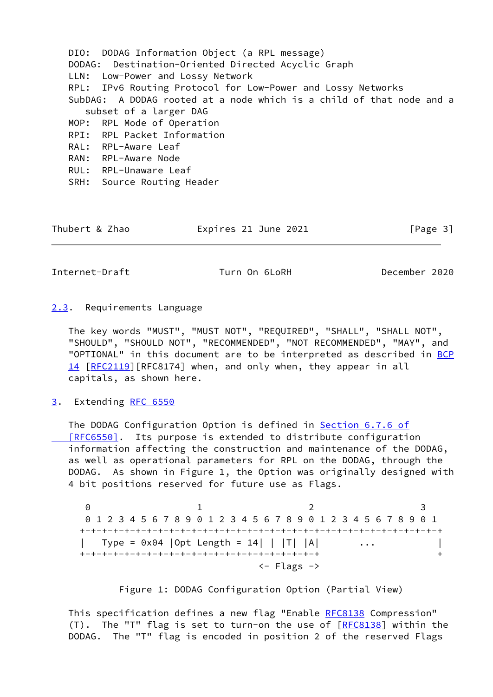DIO: DODAG Information Object (a RPL message) DODAG: Destination-Oriented Directed Acyclic Graph LLN: Low-Power and Lossy Network RPL: IPv6 Routing Protocol for Low-Power and Lossy Networks SubDAG: A DODAG rooted at a node which is a child of that node and a subset of a larger DAG MOP: RPL Mode of Operation RPI: RPL Packet Information RAL: RPL-Aware Leaf RAN: RPL-Aware Node RUL: RPL-Unaware Leaf SRH: Source Routing Header

Thubert & Zhao **Expires 21 June 2021** [Page 3]

<span id="page-3-1"></span>Internet-Draft Turn On 6LoRH December 2020

<span id="page-3-0"></span>[2.3](#page-3-0). Requirements Language

 The key words "MUST", "MUST NOT", "REQUIRED", "SHALL", "SHALL NOT", "SHOULD", "SHOULD NOT", "RECOMMENDED", "NOT RECOMMENDED", "MAY", and "OPTIONAL" in this document are to be interpreted as described in [BCP](https://datatracker.ietf.org/doc/pdf/bcp14) [14](https://datatracker.ietf.org/doc/pdf/bcp14) [[RFC2119\]](https://datatracker.ietf.org/doc/pdf/rfc2119) [RFC8174] when, and only when, they appear in all capitals, as shown here.

<span id="page-3-2"></span>[3](#page-3-2). Extending [RFC 6550](https://datatracker.ietf.org/doc/pdf/rfc6550)

 The DODAG Configuration Option is defined in Section [6.7.6 of](https://datatracker.ietf.org/doc/pdf/rfc6550#section-6.7.6)  [\[RFC6550\]](https://datatracker.ietf.org/doc/pdf/rfc6550#section-6.7.6). Its purpose is extended to distribute configuration information affecting the construction and maintenance of the DODAG, as well as operational parameters for RPL on the DODAG, through the DODAG. As shown in Figure 1, the Option was originally designed with 4 bit positions reserved for future use as Flags.

0 1 2 3 0 1 2 3 4 5 6 7 8 9 0 1 2 3 4 5 6 7 8 9 0 1 2 3 4 5 6 7 8 9 0 1 +-+-+-+-+-+-+-+-+-+-+-+-+-+-+-+-+-+-+-+-+-+-+-+-+-+-+-+-+-+-+-+-+ | Type = 0x04 | Opt Length = 14| | | T| | A| ... +-+-+-+-+-+-+-+-+-+-+-+-+-+-+-+-+-+-+-+-+-+ + <- Flags ->

Figure 1: DODAG Configuration Option (Partial View)

This specification defines a new flag "Enable [RFC8138](https://datatracker.ietf.org/doc/pdf/rfc8138) Compression" (T). The "T" flag is set to turn-on the use of  $[REC8138]$  within the DODAG. The "T" flag is encoded in position 2 of the reserved Flags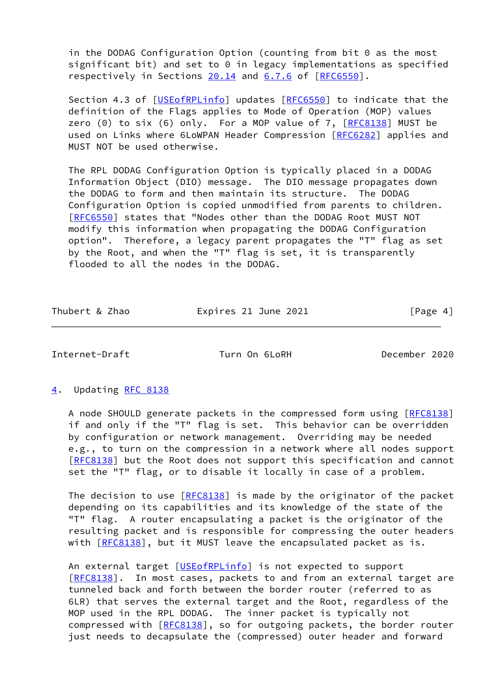in the DODAG Configuration Option (counting from bit 0 as the most significant bit) and set to 0 in legacy implementations as specified respectively in Sections 20.14 and 6.7.6 of [\[RFC6550](https://datatracker.ietf.org/doc/pdf/rfc6550)].

Section 4.3 of [\[USEofRPLinfo](#page-9-2)] updates [[RFC6550](https://datatracker.ietf.org/doc/pdf/rfc6550)] to indicate that the definition of the Flags applies to Mode of Operation (MOP) values zero  $(0)$  to six  $(6)$  only. For a MOP value of 7,  $[REC8138]$  MUST be used on Links where 6LoWPAN Header Compression [\[RFC6282](https://datatracker.ietf.org/doc/pdf/rfc6282)] applies and MUST NOT be used otherwise.

 The RPL DODAG Configuration Option is typically placed in a DODAG Information Object (DIO) message. The DIO message propagates down the DODAG to form and then maintain its structure. The DODAG Configuration Option is copied unmodified from parents to children. [\[RFC6550](https://datatracker.ietf.org/doc/pdf/rfc6550)] states that "Nodes other than the DODAG Root MUST NOT modify this information when propagating the DODAG Configuration option". Therefore, a legacy parent propagates the "T" flag as set by the Root, and when the "T" flag is set, it is transparently flooded to all the nodes in the DODAG.

Thubert & Zhao **Expires 21 June 2021** [Page 4]

<span id="page-4-1"></span>Internet-Draft Turn On 6LoRH December 2020

### <span id="page-4-0"></span>[4](#page-4-0). Updating [RFC 8138](https://datatracker.ietf.org/doc/pdf/rfc8138)

A node SHOULD generate packets in the compressed form using [\[RFC8138](https://datatracker.ietf.org/doc/pdf/rfc8138)] if and only if the "T" flag is set. This behavior can be overridden by configuration or network management. Overriding may be needed e.g., to turn on the compression in a network where all nodes support [\[RFC8138](https://datatracker.ietf.org/doc/pdf/rfc8138)] but the Root does not support this specification and cannot set the "T" flag, or to disable it locally in case of a problem.

The decision to use  $[REC8138]$  is made by the originator of the packet depending on its capabilities and its knowledge of the state of the "T" flag. A router encapsulating a packet is the originator of the resulting packet and is responsible for compressing the outer headers with [\[RFC8138](https://datatracker.ietf.org/doc/pdf/rfc8138)], but it MUST leave the encapsulated packet as is.

An external target [[USEofRPLinfo\]](#page-9-2) is not expected to support [\[RFC8138](https://datatracker.ietf.org/doc/pdf/rfc8138)]. In most cases, packets to and from an external target are tunneled back and forth between the border router (referred to as 6LR) that serves the external target and the Root, regardless of the MOP used in the RPL DODAG. The inner packet is typically not compressed with [\[RFC8138](https://datatracker.ietf.org/doc/pdf/rfc8138)], so for outgoing packets, the border router just needs to decapsulate the (compressed) outer header and forward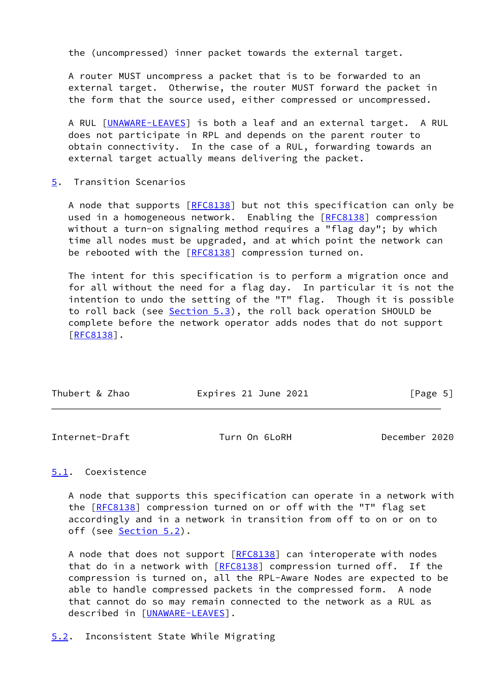the (uncompressed) inner packet towards the external target.

 A router MUST uncompress a packet that is to be forwarded to an external target. Otherwise, the router MUST forward the packet in the form that the source used, either compressed or uncompressed.

 A RUL [[UNAWARE-LEAVES](#page-9-3)] is both a leaf and an external target. A RUL does not participate in RPL and depends on the parent router to obtain connectivity. In the case of a RUL, forwarding towards an external target actually means delivering the packet.

<span id="page-5-0"></span>[5](#page-5-0). Transition Scenarios

A node that supports [\[RFC8138](https://datatracker.ietf.org/doc/pdf/rfc8138)] but not this specification can only be used in a homogeneous network. Enabling the [\[RFC8138](https://datatracker.ietf.org/doc/pdf/rfc8138)] compression without a turn-on signaling method requires a "flag day"; by which time all nodes must be upgraded, and at which point the network can be rebooted with the [\[RFC8138](https://datatracker.ietf.org/doc/pdf/rfc8138)] compression turned on.

 The intent for this specification is to perform a migration once and for all without the need for a flag day. In particular it is not the intention to undo the setting of the "T" flag. Though it is possible to roll back (see [Section 5.3](#page-6-0)), the roll back operation SHOULD be complete before the network operator adds nodes that do not support [\[RFC8138](https://datatracker.ietf.org/doc/pdf/rfc8138)].

| Thubert & Zhao | Expires 21 June 2021 | [Page 5] |
|----------------|----------------------|----------|
|                |                      |          |

<span id="page-5-2"></span>Internet-Draft Turn On 6LoRH December 2020

# <span id="page-5-1"></span>[5.1](#page-5-1). Coexistence

 A node that supports this specification can operate in a network with the [\[RFC8138](https://datatracker.ietf.org/doc/pdf/rfc8138)] compression turned on or off with the "T" flag set accordingly and in a network in transition from off to on or on to off (see [Section 5.2](#page-5-3)).

 A node that does not support [\[RFC8138](https://datatracker.ietf.org/doc/pdf/rfc8138)] can interoperate with nodes that do in a network with [[RFC8138](https://datatracker.ietf.org/doc/pdf/rfc8138)] compression turned off. If the compression is turned on, all the RPL-Aware Nodes are expected to be able to handle compressed packets in the compressed form. A node that cannot do so may remain connected to the network as a RUL as described in [\[UNAWARE-LEAVES](#page-9-3)].

#### <span id="page-5-3"></span>[5.2](#page-5-3). Inconsistent State While Migrating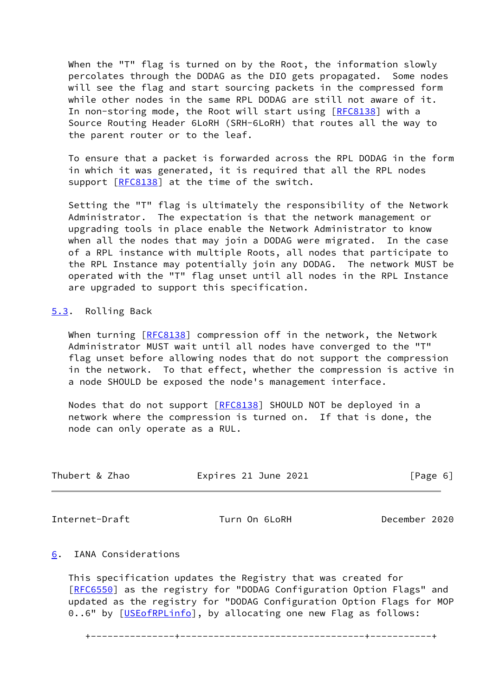When the "T" flag is turned on by the Root, the information slowly percolates through the DODAG as the DIO gets propagated. Some nodes will see the flag and start sourcing packets in the compressed form while other nodes in the same RPL DODAG are still not aware of it. In non-storing mode, the Root will start using [\[RFC8138](https://datatracker.ietf.org/doc/pdf/rfc8138)] with a Source Routing Header 6LoRH (SRH-6LoRH) that routes all the way to the parent router or to the leaf.

 To ensure that a packet is forwarded across the RPL DODAG in the form in which it was generated, it is required that all the RPL nodes support [\[RFC8138](https://datatracker.ietf.org/doc/pdf/rfc8138)] at the time of the switch.

 Setting the "T" flag is ultimately the responsibility of the Network Administrator. The expectation is that the network management or upgrading tools in place enable the Network Administrator to know when all the nodes that may join a DODAG were migrated. In the case of a RPL instance with multiple Roots, all nodes that participate to the RPL Instance may potentially join any DODAG. The network MUST be operated with the "T" flag unset until all nodes in the RPL Instance are upgraded to support this specification.

### <span id="page-6-0"></span>[5.3](#page-6-0). Rolling Back

When turning [\[RFC8138](https://datatracker.ietf.org/doc/pdf/rfc8138)] compression off in the network, the Network Administrator MUST wait until all nodes have converged to the "T" flag unset before allowing nodes that do not support the compression in the network. To that effect, whether the compression is active in a node SHOULD be exposed the node's management interface.

 Nodes that do not support [[RFC8138](https://datatracker.ietf.org/doc/pdf/rfc8138)] SHOULD NOT be deployed in a network where the compression is turned on. If that is done, the node can only operate as a RUL.

| Thubert & Zhao | Expires 21 June 2021 | [Page 6] |
|----------------|----------------------|----------|
|----------------|----------------------|----------|

<span id="page-6-2"></span>Internet-Draft Turn On 6LoRH December 2020

# <span id="page-6-1"></span>[6](#page-6-1). IANA Considerations

 This specification updates the Registry that was created for [\[RFC6550](https://datatracker.ietf.org/doc/pdf/rfc6550)] as the registry for "DODAG Configuration Option Flags" and updated as the registry for "DODAG Configuration Option Flags for MOP 0..6" by [\[USEofRPLinfo](#page-9-2)], by allocating one new Flag as follows:

+---------------+---------------------------------+-----------+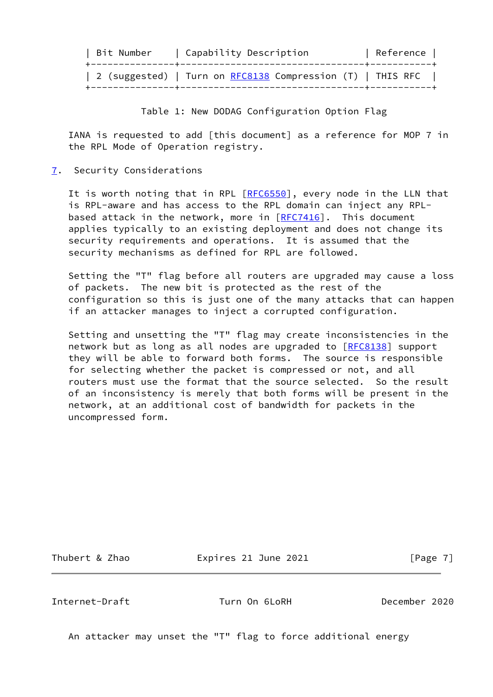| Bit Number | Capability Description                                     | Reference |
|------------|------------------------------------------------------------|-----------|
|            | 2 (suggested)   Turn on RFC8138 Compression (T)   THIS RFC |           |

Table 1: New DODAG Configuration Option Flag

 IANA is requested to add [this document] as a reference for MOP 7 in the RPL Mode of Operation registry.

<span id="page-7-0"></span>[7](#page-7-0). Security Considerations

It is worth noting that in RPL [\[RFC6550](https://datatracker.ietf.org/doc/pdf/rfc6550)], every node in the LLN that is RPL-aware and has access to the RPL domain can inject any RPL based attack in the network, more in  $[REC7416]$ . This document applies typically to an existing deployment and does not change its security requirements and operations. It is assumed that the security mechanisms as defined for RPL are followed.

 Setting the "T" flag before all routers are upgraded may cause a loss of packets. The new bit is protected as the rest of the configuration so this is just one of the many attacks that can happen if an attacker manages to inject a corrupted configuration.

 Setting and unsetting the "T" flag may create inconsistencies in the network but as long as all nodes are upgraded to [\[RFC8138](https://datatracker.ietf.org/doc/pdf/rfc8138)] support they will be able to forward both forms. The source is responsible for selecting whether the packet is compressed or not, and all routers must use the format that the source selected. So the result of an inconsistency is merely that both forms will be present in the network, at an additional cost of bandwidth for packets in the uncompressed form.

Thubert & Zhao **Expires 21 June 2021** [Page 7]

<span id="page-7-1"></span>Internet-Draft Turn On 6LoRH December 2020

An attacker may unset the "T" flag to force additional energy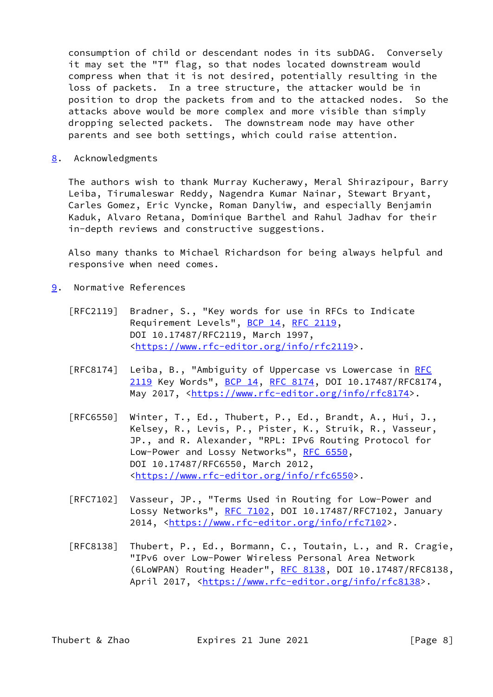consumption of child or descendant nodes in its subDAG. Conversely it may set the "T" flag, so that nodes located downstream would compress when that it is not desired, potentially resulting in the loss of packets. In a tree structure, the attacker would be in position to drop the packets from and to the attacked nodes. So the attacks above would be more complex and more visible than simply dropping selected packets. The downstream node may have other parents and see both settings, which could raise attention.

<span id="page-8-0"></span>[8](#page-8-0). Acknowledgments

 The authors wish to thank Murray Kucherawy, Meral Shirazipour, Barry Leiba, Tirumaleswar Reddy, Nagendra Kumar Nainar, Stewart Bryant, Carles Gomez, Eric Vyncke, Roman Danyliw, and especially Benjamin Kaduk, Alvaro Retana, Dominique Barthel and Rahul Jadhav for their in-depth reviews and constructive suggestions.

 Also many thanks to Michael Richardson for being always helpful and responsive when need comes.

- <span id="page-8-1"></span>[9](#page-8-1). Normative References
	- [RFC2119] Bradner, S., "Key words for use in RFCs to Indicate Requirement Levels", [BCP 14](https://datatracker.ietf.org/doc/pdf/bcp14), [RFC 2119](https://datatracker.ietf.org/doc/pdf/rfc2119), DOI 10.17487/RFC2119, March 1997, <[https://www.rfc-editor.org/info/rfc2119>](https://www.rfc-editor.org/info/rfc2119).
	- [RFC8174] Leiba, B., "Ambiguity of Uppercase vs Lowercase in [RFC](https://datatracker.ietf.org/doc/pdf/rfc2119) [2119](https://datatracker.ietf.org/doc/pdf/rfc2119) Key Words", [BCP 14](https://datatracker.ietf.org/doc/pdf/bcp14), [RFC 8174,](https://datatracker.ietf.org/doc/pdf/rfc8174) DOI 10.17487/RFC8174, May 2017, [<https://www.rfc-editor.org/info/rfc8174](https://www.rfc-editor.org/info/rfc8174)>.
	- [RFC6550] Winter, T., Ed., Thubert, P., Ed., Brandt, A., Hui, J., Kelsey, R., Levis, P., Pister, K., Struik, R., Vasseur, JP., and R. Alexander, "RPL: IPv6 Routing Protocol for Low-Power and Lossy Networks", [RFC 6550](https://datatracker.ietf.org/doc/pdf/rfc6550), DOI 10.17487/RFC6550, March 2012, <[https://www.rfc-editor.org/info/rfc6550>](https://www.rfc-editor.org/info/rfc6550).
	- [RFC7102] Vasseur, JP., "Terms Used in Routing for Low-Power and Lossy Networks", [RFC 7102,](https://datatracker.ietf.org/doc/pdf/rfc7102) DOI 10.17487/RFC7102, January 2014, [<https://www.rfc-editor.org/info/rfc7102](https://www.rfc-editor.org/info/rfc7102)>.
	- [RFC8138] Thubert, P., Ed., Bormann, C., Toutain, L., and R. Cragie, "IPv6 over Low-Power Wireless Personal Area Network (6LoWPAN) Routing Header", [RFC 8138](https://datatracker.ietf.org/doc/pdf/rfc8138), DOI 10.17487/RFC8138, April 2017, [<https://www.rfc-editor.org/info/rfc8138](https://www.rfc-editor.org/info/rfc8138)>.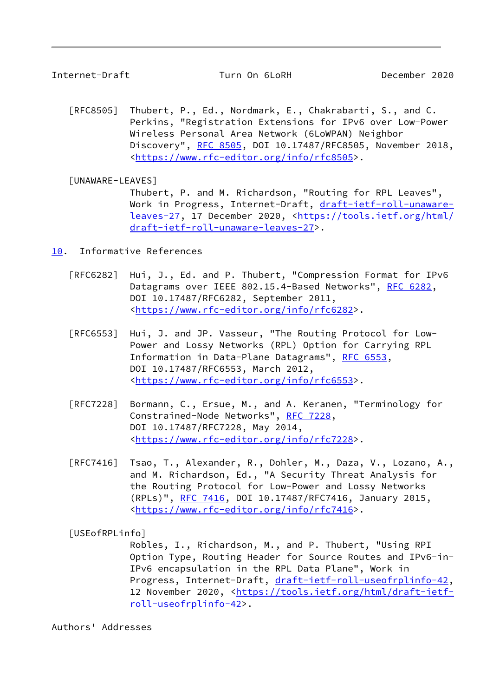<span id="page-9-1"></span>Internet-Draft Turn On 6LoRH December 2020

 [RFC8505] Thubert, P., Ed., Nordmark, E., Chakrabarti, S., and C. Perkins, "Registration Extensions for IPv6 over Low-Power Wireless Personal Area Network (6LoWPAN) Neighbor Discovery", [RFC 8505,](https://datatracker.ietf.org/doc/pdf/rfc8505) DOI 10.17487/RFC8505, November 2018, <[https://www.rfc-editor.org/info/rfc8505>](https://www.rfc-editor.org/info/rfc8505).

<span id="page-9-3"></span>[UNAWARE-LEAVES]

 Thubert, P. and M. Richardson, "Routing for RPL Leaves", Work in Progress, Internet-Draft, [draft-ietf-roll-unaware](https://datatracker.ietf.org/doc/pdf/draft-ietf-roll-unaware-leaves-27) [leaves-27,](https://datatracker.ietf.org/doc/pdf/draft-ietf-roll-unaware-leaves-27) 17 December 2020, [<https://tools.ietf.org/html/](https://tools.ietf.org/html/draft-ietf-roll-unaware-leaves-27) [draft-ietf-roll-unaware-leaves-27>](https://tools.ietf.org/html/draft-ietf-roll-unaware-leaves-27).

<span id="page-9-0"></span>[10.](#page-9-0) Informative References

- [RFC6282] Hui, J., Ed. and P. Thubert, "Compression Format for IPv6 Datagrams over IEEE 802.15.4-Based Networks", [RFC 6282](https://datatracker.ietf.org/doc/pdf/rfc6282), DOI 10.17487/RFC6282, September 2011, <[https://www.rfc-editor.org/info/rfc6282>](https://www.rfc-editor.org/info/rfc6282).
- [RFC6553] Hui, J. and JP. Vasseur, "The Routing Protocol for Low- Power and Lossy Networks (RPL) Option for Carrying RPL Information in Data-Plane Datagrams", [RFC 6553](https://datatracker.ietf.org/doc/pdf/rfc6553), DOI 10.17487/RFC6553, March 2012, <[https://www.rfc-editor.org/info/rfc6553>](https://www.rfc-editor.org/info/rfc6553).
- [RFC7228] Bormann, C., Ersue, M., and A. Keranen, "Terminology for Constrained-Node Networks", [RFC 7228,](https://datatracker.ietf.org/doc/pdf/rfc7228) DOI 10.17487/RFC7228, May 2014, <[https://www.rfc-editor.org/info/rfc7228>](https://www.rfc-editor.org/info/rfc7228).
- [RFC7416] Tsao, T., Alexander, R., Dohler, M., Daza, V., Lozano, A., and M. Richardson, Ed., "A Security Threat Analysis for the Routing Protocol for Low-Power and Lossy Networks (RPLs)", [RFC 7416,](https://datatracker.ietf.org/doc/pdf/rfc7416) DOI 10.17487/RFC7416, January 2015, <[https://www.rfc-editor.org/info/rfc7416>](https://www.rfc-editor.org/info/rfc7416).

<span id="page-9-2"></span>[USEofRPLinfo]

 Robles, I., Richardson, M., and P. Thubert, "Using RPI Option Type, Routing Header for Source Routes and IPv6-in- IPv6 encapsulation in the RPL Data Plane", Work in Progress, Internet-Draft, [draft-ietf-roll-useofrplinfo-42](https://datatracker.ietf.org/doc/pdf/draft-ietf-roll-useofrplinfo-42), 12 November 2020, [<https://tools.ietf.org/html/draft-ietf](https://tools.ietf.org/html/draft-ietf-roll-useofrplinfo-42) [roll-useofrplinfo-42>](https://tools.ietf.org/html/draft-ietf-roll-useofrplinfo-42).

Authors' Addresses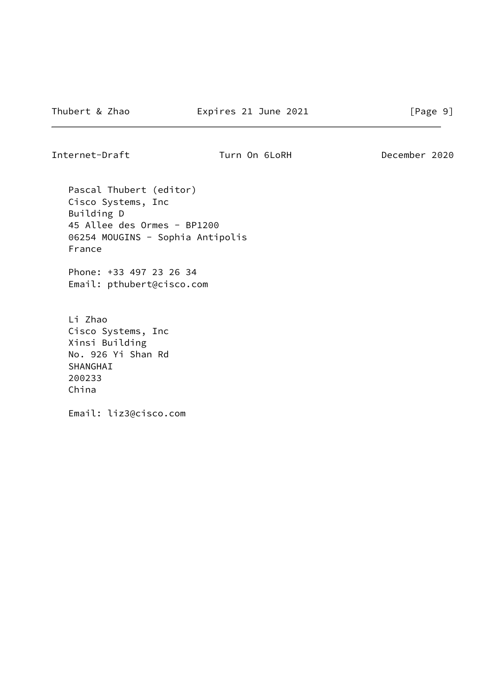Internet-Draft Turn On 6LoRH December 2020

 Pascal Thubert (editor) Cisco Systems, Inc Building D 45 Allee des Ormes - BP1200 06254 MOUGINS - Sophia Antipolis France

 Phone: +33 497 23 26 34 Email: pthubert@cisco.com

 Li Zhao Cisco Systems, Inc Xinsi Building No. 926 Yi Shan Rd SHANGHAI 200233 China

Email: liz3@cisco.com